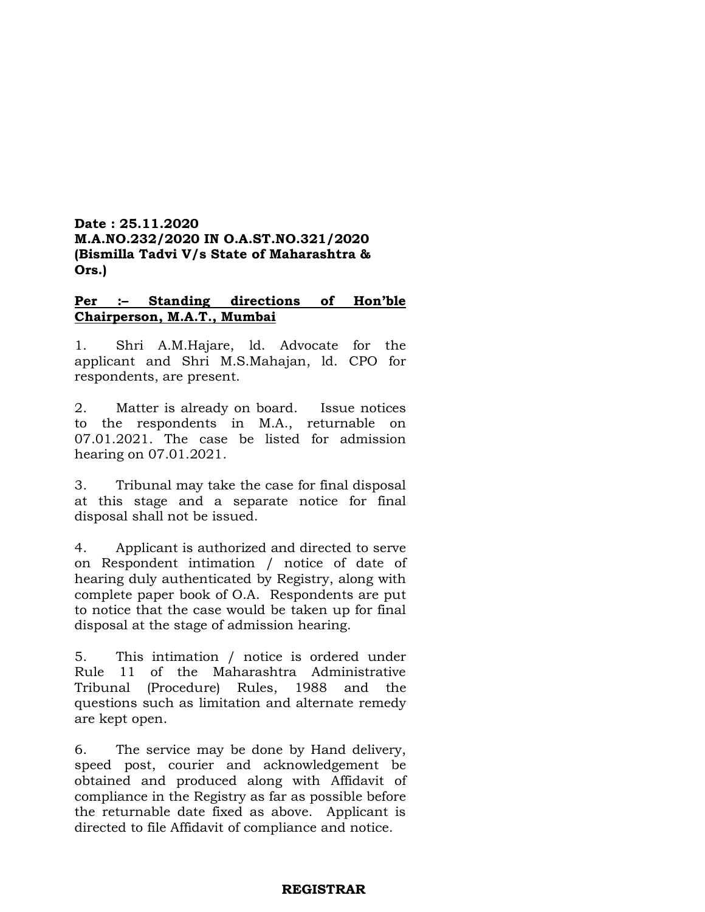# **Date : 25.11.2020 M.A.NO.232/2020 IN O.A.ST.NO.321/2020 (Bismilla Tadvi V/s State of Maharashtra & Ors.)**

# **Per :– Standing directions of Hon'ble Chairperson, M.A.T., Mumbai**

1. Shri A.M.Hajare, ld. Advocate for the applicant and Shri M.S.Mahajan, ld. CPO for respondents, are present.

2. Matter is already on board. Issue notices to the respondents in M.A., returnable on 07.01.2021. The case be listed for admission hearing on 07.01.2021.

3. Tribunal may take the case for final disposal at this stage and a separate notice for final disposal shall not be issued.

4. Applicant is authorized and directed to serve on Respondent intimation / notice of date of hearing duly authenticated by Registry, along with complete paper book of O.A. Respondents are put to notice that the case would be taken up for final disposal at the stage of admission hearing.

5. This intimation / notice is ordered under Rule 11 of the Maharashtra Administrative Tribunal (Procedure) Rules, 1988 and the questions such as limitation and alternate remedy are kept open.

6. The service may be done by Hand delivery, speed post, courier and acknowledgement be obtained and produced along with Affidavit of compliance in the Registry as far as possible before the returnable date fixed as above. Applicant is directed to file Affidavit of compliance and notice.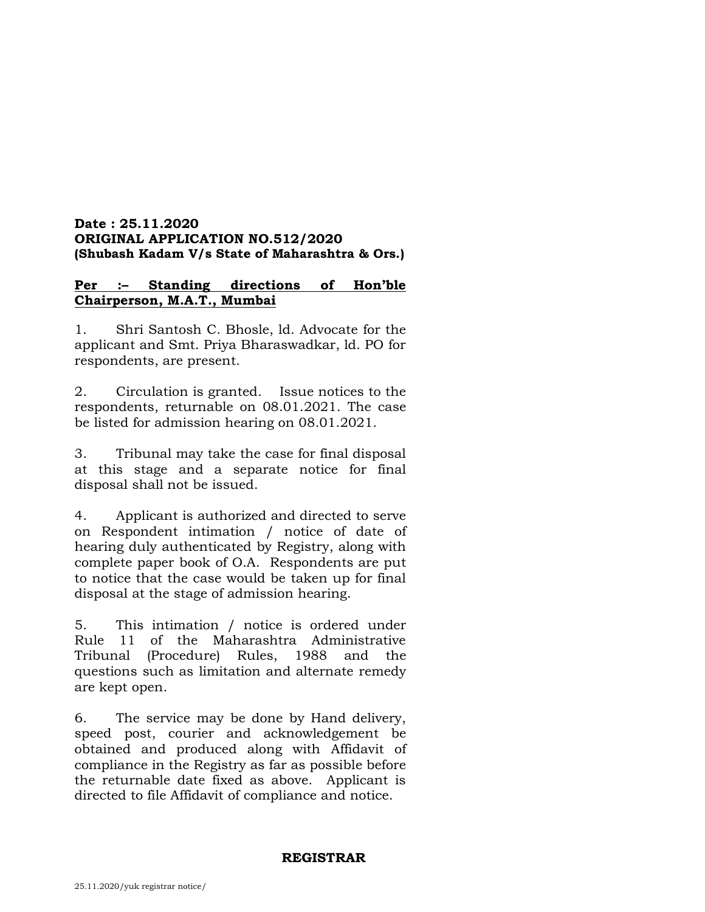# **Date : 25.11.2020 ORIGINAL APPLICATION NO.512/2020 (Shubash Kadam V/s State of Maharashtra & Ors.)**

# **Per :– Standing directions of Hon'ble Chairperson, M.A.T., Mumbai**

1. Shri Santosh C. Bhosle, ld. Advocate for the applicant and Smt. Priya Bharaswadkar, ld. PO for respondents, are present.

2. Circulation is granted. Issue notices to the respondents, returnable on 08.01.2021. The case be listed for admission hearing on 08.01.2021.

3. Tribunal may take the case for final disposal at this stage and a separate notice for final disposal shall not be issued.

4. Applicant is authorized and directed to serve on Respondent intimation / notice of date of hearing duly authenticated by Registry, along with complete paper book of O.A. Respondents are put to notice that the case would be taken up for final disposal at the stage of admission hearing.

5. This intimation / notice is ordered under Rule 11 of the Maharashtra Administrative Tribunal (Procedure) Rules, 1988 and the questions such as limitation and alternate remedy are kept open.

6. The service may be done by Hand delivery, speed post, courier and acknowledgement be obtained and produced along with Affidavit of compliance in the Registry as far as possible before the returnable date fixed as above. Applicant is directed to file Affidavit of compliance and notice.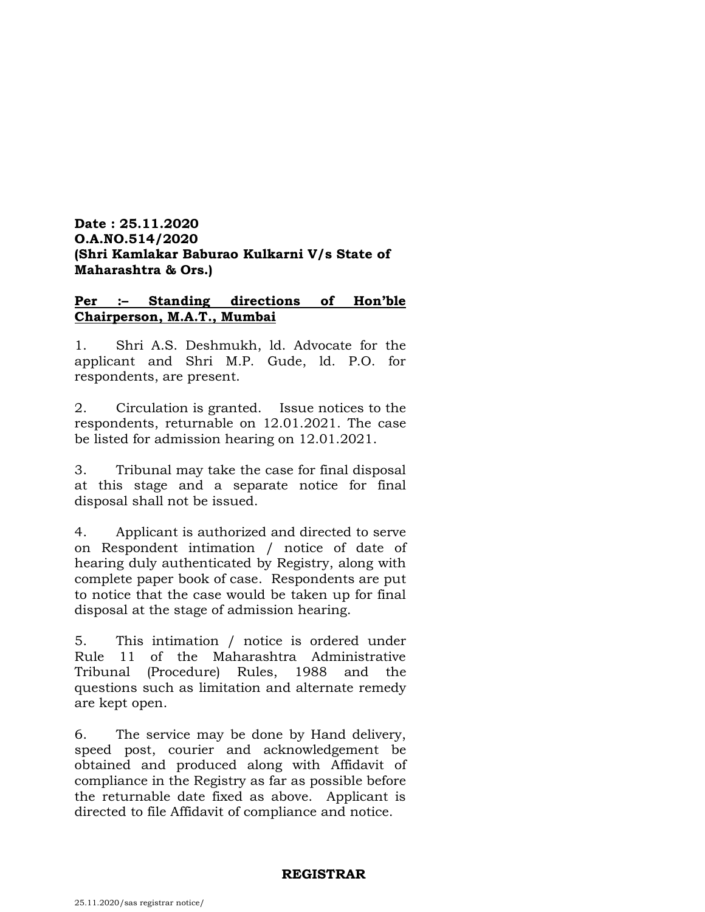# **Date : 25.11.2020 O.A.NO.514/2020 (Shri Kamlakar Baburao Kulkarni V/s State of Maharashtra & Ors.)**

# **Per :– Standing directions of Hon'ble Chairperson, M.A.T., Mumbai**

1. Shri A.S. Deshmukh, ld. Advocate for the applicant and Shri M.P. Gude, ld. P.O. for respondents, are present.

2. Circulation is granted. Issue notices to the respondents, returnable on 12.01.2021. The case be listed for admission hearing on 12.01.2021.

3. Tribunal may take the case for final disposal at this stage and a separate notice for final disposal shall not be issued.

4. Applicant is authorized and directed to serve on Respondent intimation / notice of date of hearing duly authenticated by Registry, along with complete paper book of case. Respondents are put to notice that the case would be taken up for final disposal at the stage of admission hearing.

5. This intimation / notice is ordered under Rule 11 of the Maharashtra Administrative Tribunal (Procedure) Rules, 1988 and the questions such as limitation and alternate remedy are kept open.

6. The service may be done by Hand delivery, speed post, courier and acknowledgement be obtained and produced along with Affidavit of compliance in the Registry as far as possible before the returnable date fixed as above. Applicant is directed to file Affidavit of compliance and notice.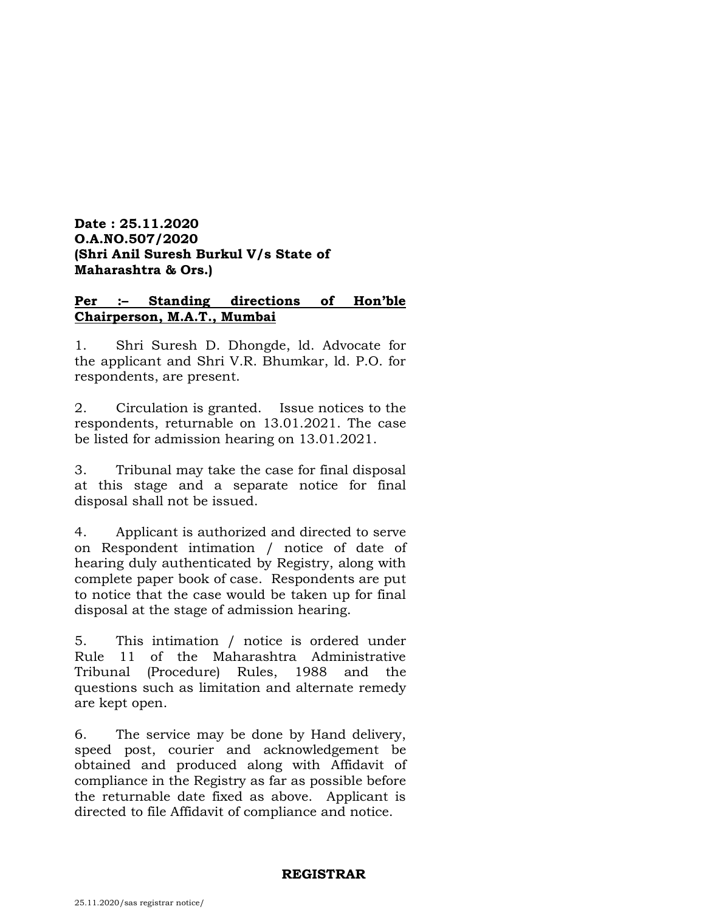# **Date : 25.11.2020 O.A.NO.507/2020 (Shri Anil Suresh Burkul V/s State of Maharashtra & Ors.)**

# **Per :– Standing directions of Hon'ble Chairperson, M.A.T., Mumbai**

1. Shri Suresh D. Dhongde, ld. Advocate for the applicant and Shri V.R. Bhumkar, ld. P.O. for respondents, are present.

2. Circulation is granted. Issue notices to the respondents, returnable on 13.01.2021. The case be listed for admission hearing on 13.01.2021.

3. Tribunal may take the case for final disposal at this stage and a separate notice for final disposal shall not be issued.

4. Applicant is authorized and directed to serve on Respondent intimation / notice of date of hearing duly authenticated by Registry, along with complete paper book of case. Respondents are put to notice that the case would be taken up for final disposal at the stage of admission hearing.

5. This intimation / notice is ordered under Rule 11 of the Maharashtra Administrative Tribunal (Procedure) Rules, 1988 and the questions such as limitation and alternate remedy are kept open.

6. The service may be done by Hand delivery, speed post, courier and acknowledgement be obtained and produced along with Affidavit of compliance in the Registry as far as possible before the returnable date fixed as above. Applicant is directed to file Affidavit of compliance and notice.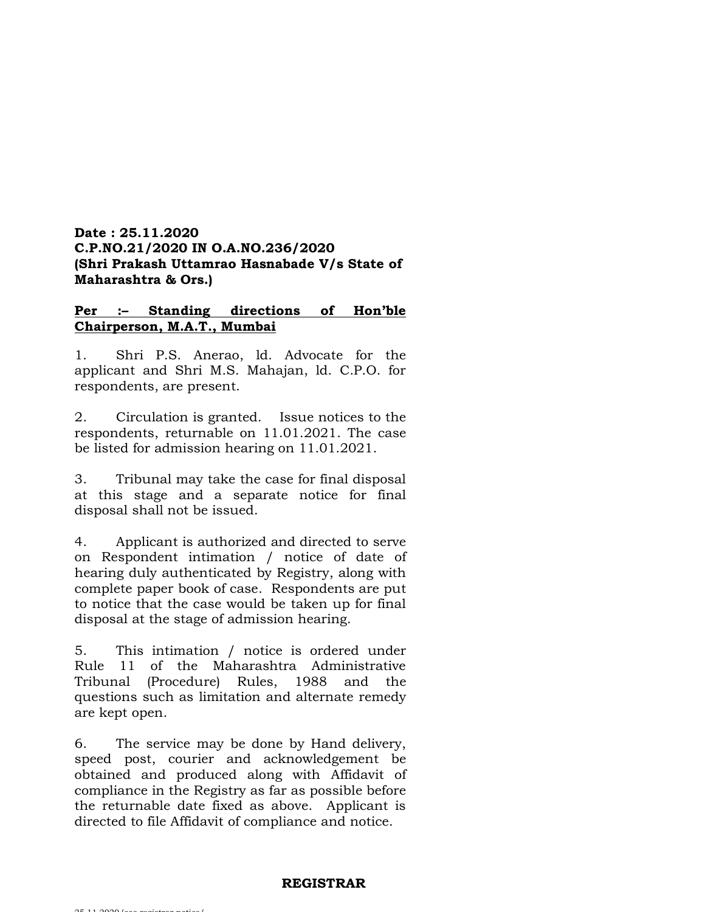# **Date : 25.11.2020 C.P.NO.21/2020 IN O.A.NO.236/2020 (Shri Prakash Uttamrao Hasnabade V/s State of Maharashtra & Ors.)**

# **Per :– Standing directions of Hon'ble Chairperson, M.A.T., Mumbai**

1. Shri P.S. Anerao, ld. Advocate for the applicant and Shri M.S. Mahajan, ld. C.P.O. for respondents, are present.

2. Circulation is granted. Issue notices to the respondents, returnable on 11.01.2021. The case be listed for admission hearing on 11.01.2021.

3. Tribunal may take the case for final disposal at this stage and a separate notice for final disposal shall not be issued.

4. Applicant is authorized and directed to serve on Respondent intimation / notice of date of hearing duly authenticated by Registry, along with complete paper book of case. Respondents are put to notice that the case would be taken up for final disposal at the stage of admission hearing.

5. This intimation / notice is ordered under Rule 11 of the Maharashtra Administrative Tribunal (Procedure) Rules, 1988 and the questions such as limitation and alternate remedy are kept open.

6. The service may be done by Hand delivery, speed post, courier and acknowledgement be obtained and produced along with Affidavit of compliance in the Registry as far as possible before the returnable date fixed as above. Applicant is directed to file Affidavit of compliance and notice.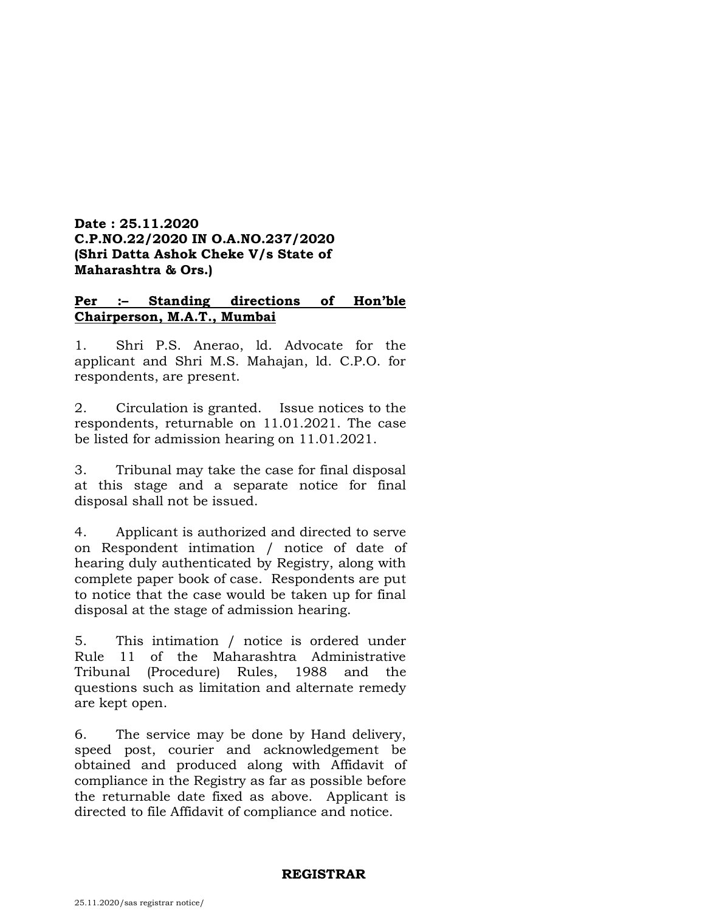# **Date : 25.11.2020 C.P.NO.22/2020 IN O.A.NO.237/2020 (Shri Datta Ashok Cheke V/s State of Maharashtra & Ors.)**

# **Per :– Standing directions of Hon'ble Chairperson, M.A.T., Mumbai**

1. Shri P.S. Anerao, ld. Advocate for the applicant and Shri M.S. Mahajan, ld. C.P.O. for respondents, are present.

2. Circulation is granted. Issue notices to the respondents, returnable on 11.01.2021. The case be listed for admission hearing on 11.01.2021.

3. Tribunal may take the case for final disposal at this stage and a separate notice for final disposal shall not be issued.

4. Applicant is authorized and directed to serve on Respondent intimation / notice of date of hearing duly authenticated by Registry, along with complete paper book of case. Respondents are put to notice that the case would be taken up for final disposal at the stage of admission hearing.

5. This intimation / notice is ordered under Rule 11 of the Maharashtra Administrative Tribunal (Procedure) Rules, 1988 and the questions such as limitation and alternate remedy are kept open.

6. The service may be done by Hand delivery, speed post, courier and acknowledgement be obtained and produced along with Affidavit of compliance in the Registry as far as possible before the returnable date fixed as above. Applicant is directed to file Affidavit of compliance and notice.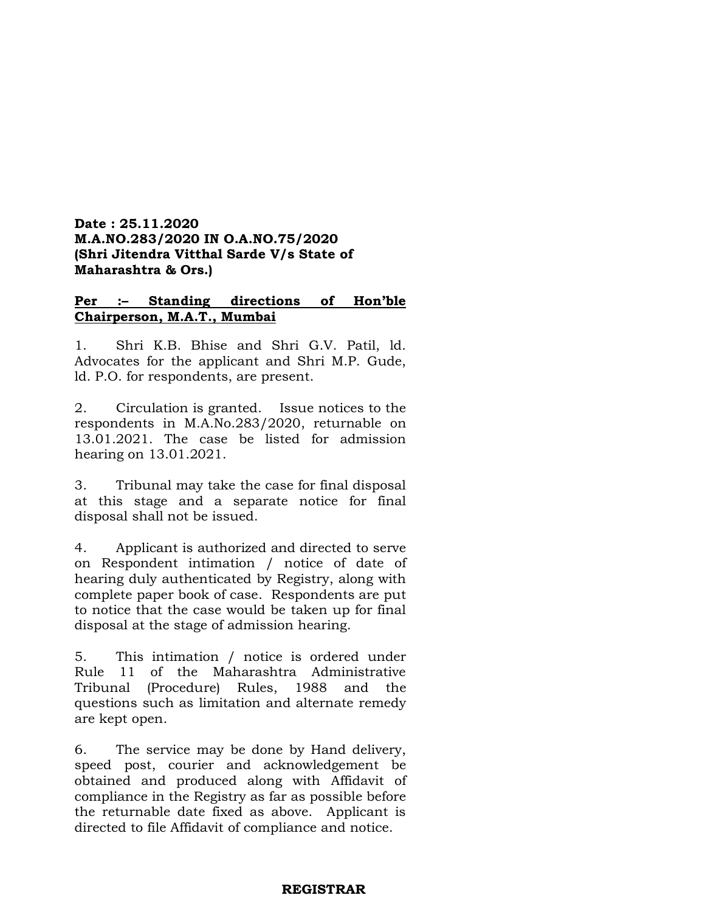# **Date : 25.11.2020 M.A.NO.283/2020 IN O.A.NO.75/2020 (Shri Jitendra Vitthal Sarde V/s State of Maharashtra & Ors.)**

# **Per :– Standing directions of Hon'ble Chairperson, M.A.T., Mumbai**

1. Shri K.B. Bhise and Shri G.V. Patil, ld. Advocates for the applicant and Shri M.P. Gude, ld. P.O. for respondents, are present.

2. Circulation is granted. Issue notices to the respondents in M.A.No.283/2020, returnable on 13.01.2021. The case be listed for admission hearing on 13.01.2021.

3. Tribunal may take the case for final disposal at this stage and a separate notice for final disposal shall not be issued.

4. Applicant is authorized and directed to serve on Respondent intimation / notice of date of hearing duly authenticated by Registry, along with complete paper book of case. Respondents are put to notice that the case would be taken up for final disposal at the stage of admission hearing.

5. This intimation / notice is ordered under Rule 11 of the Maharashtra Administrative Tribunal (Procedure) Rules, 1988 and the questions such as limitation and alternate remedy are kept open.

6. The service may be done by Hand delivery, speed post, courier and acknowledgement be obtained and produced along with Affidavit of compliance in the Registry as far as possible before the returnable date fixed as above. Applicant is directed to file Affidavit of compliance and notice.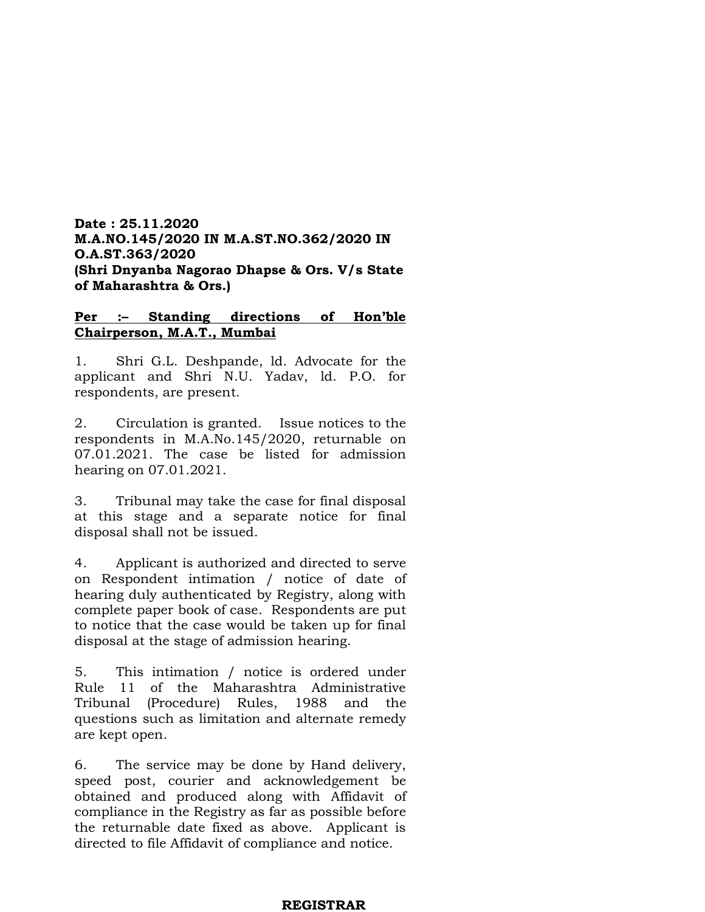# **Date : 25.11.2020 M.A.NO.145/2020 IN M.A.ST.NO.362/2020 IN O.A.ST.363/2020 (Shri Dnyanba Nagorao Dhapse & Ors. V/s State of Maharashtra & Ors.)**

# **Per :– Standing directions of Hon'ble Chairperson, M.A.T., Mumbai**

1. Shri G.L. Deshpande, ld. Advocate for the applicant and Shri N.U. Yadav, ld. P.O. for respondents, are present.

2. Circulation is granted. Issue notices to the respondents in M.A.No.145/2020, returnable on 07.01.2021. The case be listed for admission hearing on 07.01.2021.

3. Tribunal may take the case for final disposal at this stage and a separate notice for final disposal shall not be issued.

4. Applicant is authorized and directed to serve on Respondent intimation / notice of date of hearing duly authenticated by Registry, along with complete paper book of case. Respondents are put to notice that the case would be taken up for final disposal at the stage of admission hearing.

5. This intimation / notice is ordered under Rule 11 of the Maharashtra Administrative Tribunal (Procedure) Rules, 1988 and the questions such as limitation and alternate remedy are kept open.

6. The service may be done by Hand delivery, speed post, courier and acknowledgement be obtained and produced along with Affidavit of compliance in the Registry as far as possible before the returnable date fixed as above. Applicant is directed to file Affidavit of compliance and notice.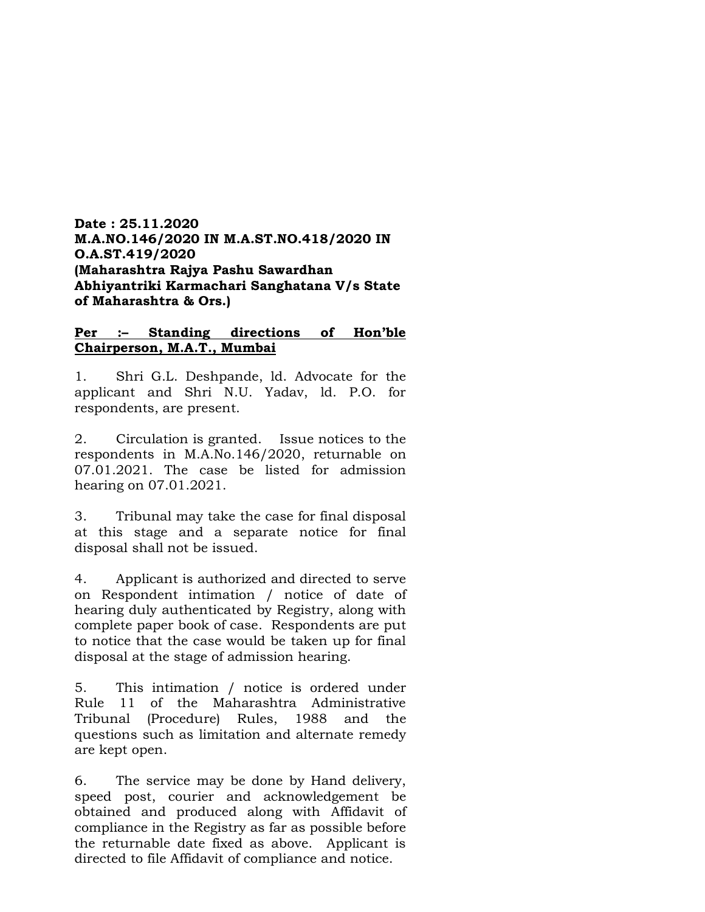**Date : 25.11.2020 M.A.NO.146/2020 IN M.A.ST.NO.418/2020 IN O.A.ST.419/2020 (Maharashtra Rajya Pashu Sawardhan Abhiyantriki Karmachari Sanghatana V/s State of Maharashtra & Ors.)**

#### **Per :– Standing directions of Hon'ble Chairperson, M.A.T., Mumbai**

1. Shri G.L. Deshpande, ld. Advocate for the applicant and Shri N.U. Yadav, ld. P.O. for respondents, are present.

2. Circulation is granted. Issue notices to the respondents in M.A.No.146/2020, returnable on 07.01.2021. The case be listed for admission hearing on 07.01.2021.

3. Tribunal may take the case for final disposal at this stage and a separate notice for final disposal shall not be issued.

4. Applicant is authorized and directed to serve on Respondent intimation / notice of date of hearing duly authenticated by Registry, along with complete paper book of case. Respondents are put to notice that the case would be taken up for final disposal at the stage of admission hearing.

5. This intimation / notice is ordered under Rule 11 of the Maharashtra Administrative Tribunal (Procedure) Rules, 1988 and the questions such as limitation and alternate remedy are kept open.

6. The service may be done by Hand delivery, speed post, courier and acknowledgement be obtained and produced along with Affidavit of compliance in the Registry as far as possible before the returnable date fixed as above. Applicant is directed to file Affidavit of compliance and notice.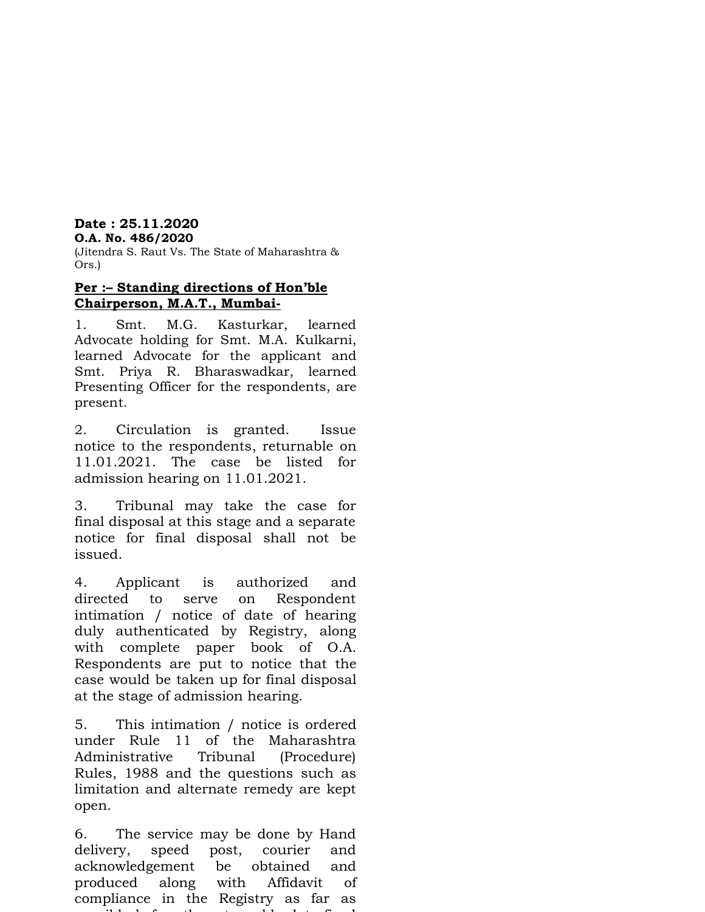# **Date : 25.11.2020**

# **O.A. No. 486/2020**

(Jitendra S. Raut Vs. The State of Maharashtra & Ors.)

# **Per :– Standing directions of Hon'ble Chairperson, M.A.T., Mumbai-**

1. Smt. M.G. Kasturkar, learned Advocate holding for Smt. M.A. Kulkarni, learned Advocate for the applicant and Smt. Priya R. Bharaswadkar, learned Presenting Officer for the respondents, are present.

2. Circulation is granted. Issue notice to the respondents, returnable on 11.01.2021. The case be listed for admission hearing on 11.01.2021.

3. Tribunal may take the case for final disposal at this stage and a separate notice for final disposal shall not be issued.

4. Applicant is authorized and directed to serve on Respondent intimation / notice of date of hearing duly authenticated by Registry, along with complete paper book of O.A. Respondents are put to notice that the case would be taken up for final disposal at the stage of admission hearing.

5. This intimation / notice is ordered under Rule 11 of the Maharashtra Administrative Tribunal (Procedure) Rules, 1988 and the questions such as limitation and alternate remedy are kept open.

6. The service may be done by Hand delivery, speed post, courier and acknowledgement be obtained and produced along with Affidavit of compliance in the Registry as far as possible before the returnable date fixed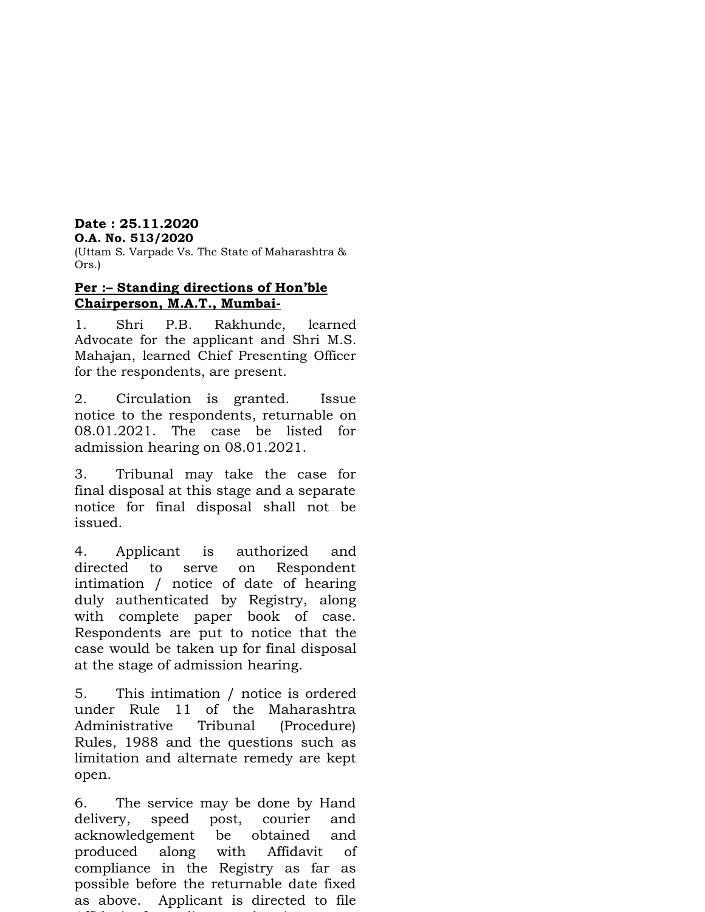# **Date : 25.11.2020**

# **O.A. No. 513/2020**

(Uttam S. Varpade Vs. The State of Maharashtra & Ors.)

# **Per :– Standing directions of Hon'ble Chairperson, M.A.T., Mumbai-**

1. Shri P.B. Rakhunde, learned Advocate for the applicant and Shri M.S. Mahajan, learned Chief Presenting Officer for the respondents, are present.

2. Circulation is granted. Issue notice to the respondents, returnable on 08.01.2021. The case be listed for admission hearing on 08.01.2021.

3. Tribunal may take the case for final disposal at this stage and a separate notice for final disposal shall not be issued.

4. Applicant is authorized and directed to serve on Respondent intimation / notice of date of hearing duly authenticated by Registry, along with complete paper book of case. Respondents are put to notice that the case would be taken up for final disposal at the stage of admission hearing.

5. This intimation / notice is ordered under Rule 11 of the Maharashtra Administrative Tribunal (Procedure) Rules, 1988 and the questions such as limitation and alternate remedy are kept open.

6. The service may be done by Hand delivery, speed post, courier and acknowledgement be obtained and produced along with Affidavit of compliance in the Registry as far as possible before the returnable date fixed as above. Applicant is directed to file Affidavit of compliance and notice.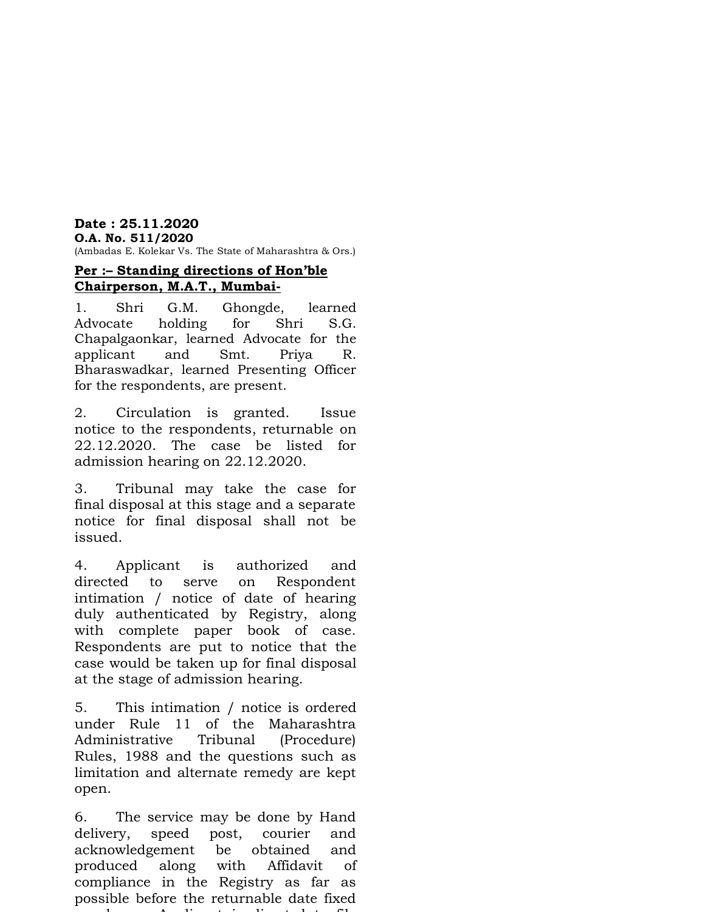# **Date : 25.11.2020 O.A. No. 511/2020**

(Ambadas E. Kolekar Vs. The State of Maharashtra & Ors.)

# **Per :– Standing directions of Hon'ble Chairperson, M.A.T., Mumbai-**

1. Shri G.M. Ghongde, learned Advocate holding for Shri S.G. Chapalgaonkar, learned Advocate for the applicant and Smt. Priya R. Bharaswadkar, learned Presenting Officer for the respondents, are present.

2. Circulation is granted. Issue notice to the respondents, returnable on 22.12.2020. The case be listed for admission hearing on 22.12.2020.

3. Tribunal may take the case for final disposal at this stage and a separate notice for final disposal shall not be issued.

4. Applicant is authorized and directed to serve on Respondent intimation / notice of date of hearing duly authenticated by Registry, along with complete paper book of case. Respondents are put to notice that the case would be taken up for final disposal at the stage of admission hearing.

5. This intimation / notice is ordered under Rule 11 of the Maharashtra Administrative Tribunal (Procedure) Rules, 1988 and the questions such as limitation and alternate remedy are kept open.

6. The service may be done by Hand delivery, speed post, courier and acknowledgement be obtained and produced along with Affidavit of compliance in the Registry as far as possible before the returnable date fixed as above. Applicant is directed to file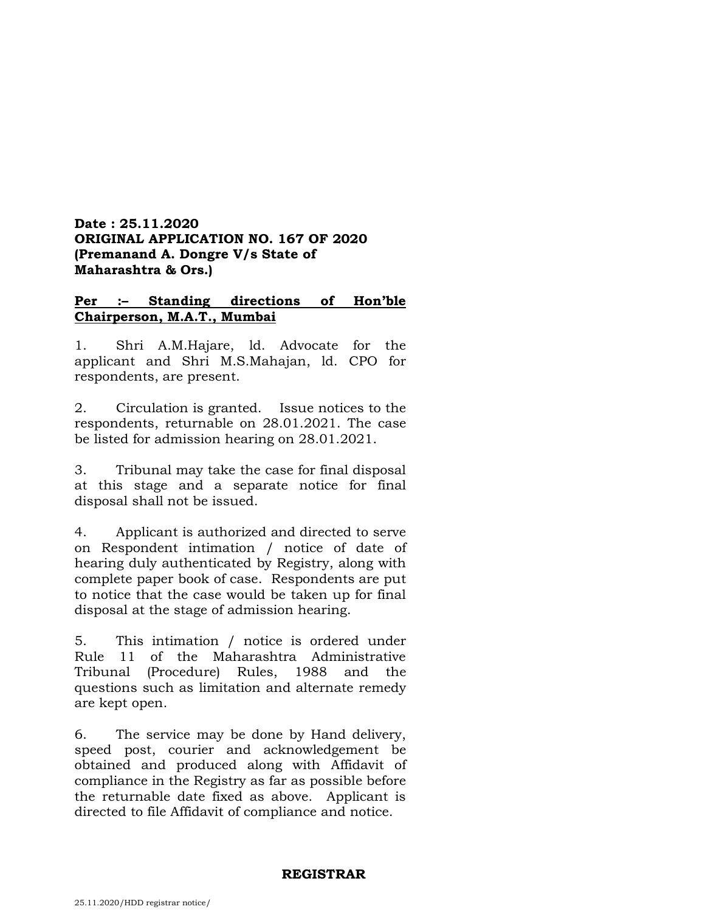# **Date : 25.11.2020 ORIGINAL APPLICATION NO. 167 OF 2020 (Premanand A. Dongre V/s State of Maharashtra & Ors.)**

# **Per :– Standing directions of Hon'ble Chairperson, M.A.T., Mumbai**

1. Shri A.M.Hajare, ld. Advocate for the applicant and Shri M.S.Mahajan, ld. CPO for respondents, are present.

2. Circulation is granted. Issue notices to the respondents, returnable on 28.01.2021. The case be listed for admission hearing on 28.01.2021.

3. Tribunal may take the case for final disposal at this stage and a separate notice for final disposal shall not be issued.

4. Applicant is authorized and directed to serve on Respondent intimation / notice of date of hearing duly authenticated by Registry, along with complete paper book of case. Respondents are put to notice that the case would be taken up for final disposal at the stage of admission hearing.

5. This intimation / notice is ordered under Rule 11 of the Maharashtra Administrative Tribunal (Procedure) Rules, 1988 and the questions such as limitation and alternate remedy are kept open.

6. The service may be done by Hand delivery, speed post, courier and acknowledgement be obtained and produced along with Affidavit of compliance in the Registry as far as possible before the returnable date fixed as above. Applicant is directed to file Affidavit of compliance and notice.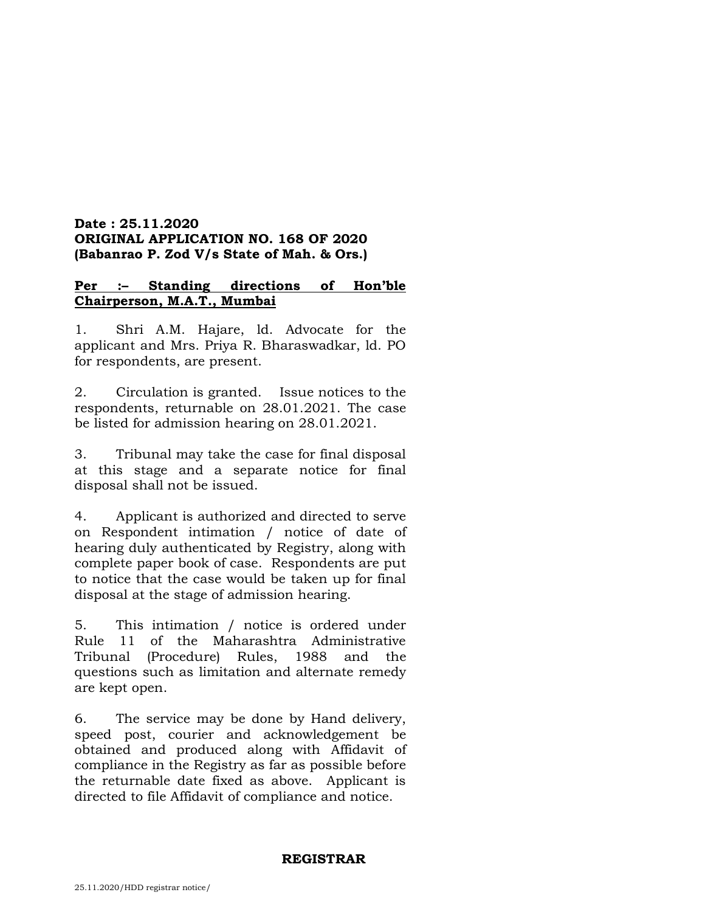# **Date : 25.11.2020 ORIGINAL APPLICATION NO. 168 OF 2020 (Babanrao P. Zod V/s State of Mah. & Ors.)**

# **Per :– Standing directions of Hon'ble Chairperson, M.A.T., Mumbai**

1. Shri A.M. Hajare, ld. Advocate for the applicant and Mrs. Priya R. Bharaswadkar, ld. PO for respondents, are present.

2. Circulation is granted. Issue notices to the respondents, returnable on 28.01.2021. The case be listed for admission hearing on 28.01.2021.

3. Tribunal may take the case for final disposal at this stage and a separate notice for final disposal shall not be issued.

4. Applicant is authorized and directed to serve on Respondent intimation / notice of date of hearing duly authenticated by Registry, along with complete paper book of case. Respondents are put to notice that the case would be taken up for final disposal at the stage of admission hearing.

5. This intimation / notice is ordered under Rule 11 of the Maharashtra Administrative Tribunal (Procedure) Rules, 1988 and the questions such as limitation and alternate remedy are kept open.

6. The service may be done by Hand delivery, speed post, courier and acknowledgement be obtained and produced along with Affidavit of compliance in the Registry as far as possible before the returnable date fixed as above. Applicant is directed to file Affidavit of compliance and notice.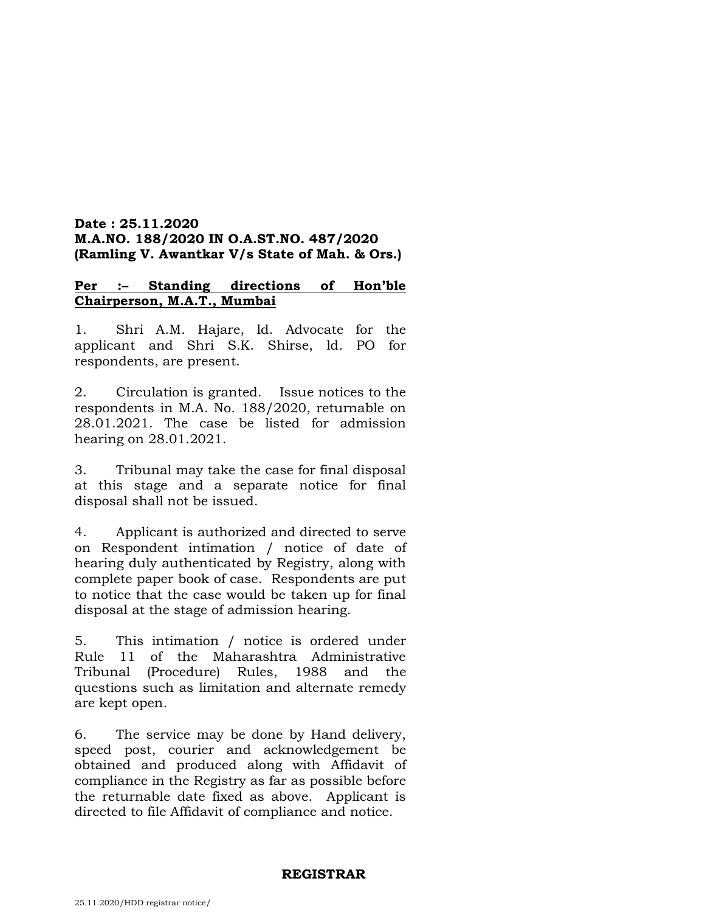### **Date : 25.11.2020 M.A.NO. 188/2020 IN O.A.ST.NO. 487/2020 (Ramling V. Awantkar V/s State of Mah. & Ors.)**

#### **Per :– Standing directions of Hon'ble Chairperson, M.A.T., Mumbai**

1. Shri A.M. Hajare, ld. Advocate for the applicant and Shri S.K. Shirse, ld. PO for respondents, are present.

2. Circulation is granted. Issue notices to the respondents in M.A. No. 188/2020, returnable on 28.01.2021. The case be listed for admission hearing on 28.01.2021.

3. Tribunal may take the case for final disposal at this stage and a separate notice for final disposal shall not be issued.

4. Applicant is authorized and directed to serve on Respondent intimation / notice of date of hearing duly authenticated by Registry, along with complete paper book of case. Respondents are put to notice that the case would be taken up for final disposal at the stage of admission hearing.

5. This intimation / notice is ordered under Rule 11 of the Maharashtra Administrative Tribunal (Procedure) Rules, 1988 and the questions such as limitation and alternate remedy are kept open.

6. The service may be done by Hand delivery, speed post, courier and acknowledgement be obtained and produced along with Affidavit of compliance in the Registry as far as possible before the returnable date fixed as above. Applicant is directed to file Affidavit of compliance and notice.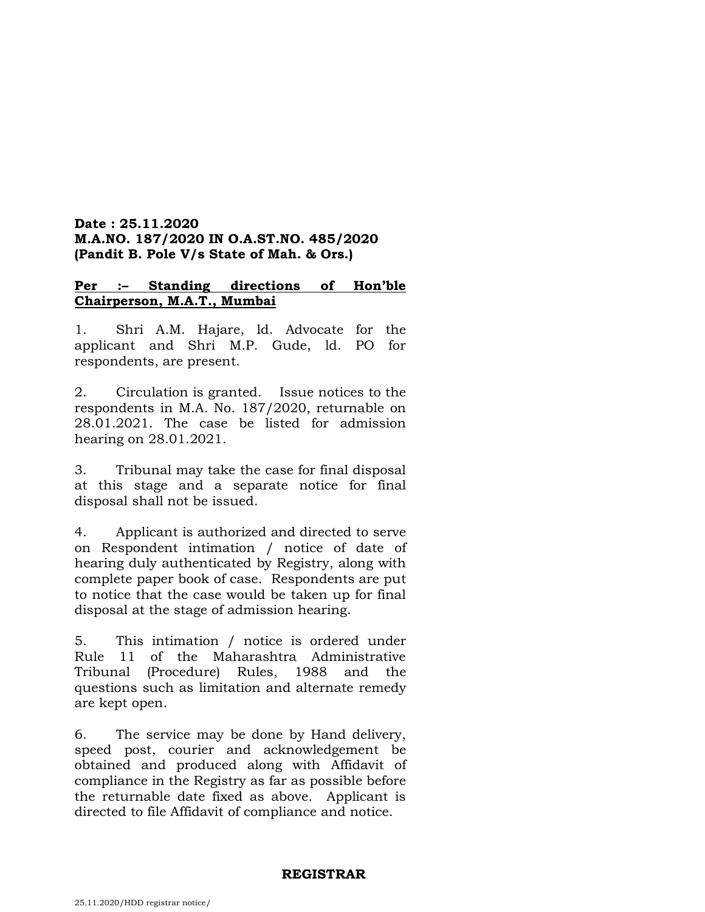### **Date : 25.11.2020 M.A.NO. 187/2020 IN O.A.ST.NO. 485/2020 (Pandit B. Pole V/s State of Mah. & Ors.)**

# **Per :– Standing directions of Hon'ble Chairperson, M.A.T., Mumbai**

1. Shri A.M. Hajare, ld. Advocate for the applicant and Shri M.P. Gude, ld. PO for respondents, are present.

2. Circulation is granted. Issue notices to the respondents in M.A. No. 187/2020, returnable on 28.01.2021. The case be listed for admission hearing on 28.01.2021.

3. Tribunal may take the case for final disposal at this stage and a separate notice for final disposal shall not be issued.

4. Applicant is authorized and directed to serve on Respondent intimation / notice of date of hearing duly authenticated by Registry, along with complete paper book of case. Respondents are put to notice that the case would be taken up for final disposal at the stage of admission hearing.

5. This intimation / notice is ordered under Rule 11 of the Maharashtra Administrative Tribunal (Procedure) Rules, 1988 and the questions such as limitation and alternate remedy are kept open.

6. The service may be done by Hand delivery, speed post, courier and acknowledgement be obtained and produced along with Affidavit of compliance in the Registry as far as possible before the returnable date fixed as above. Applicant is directed to file Affidavit of compliance and notice.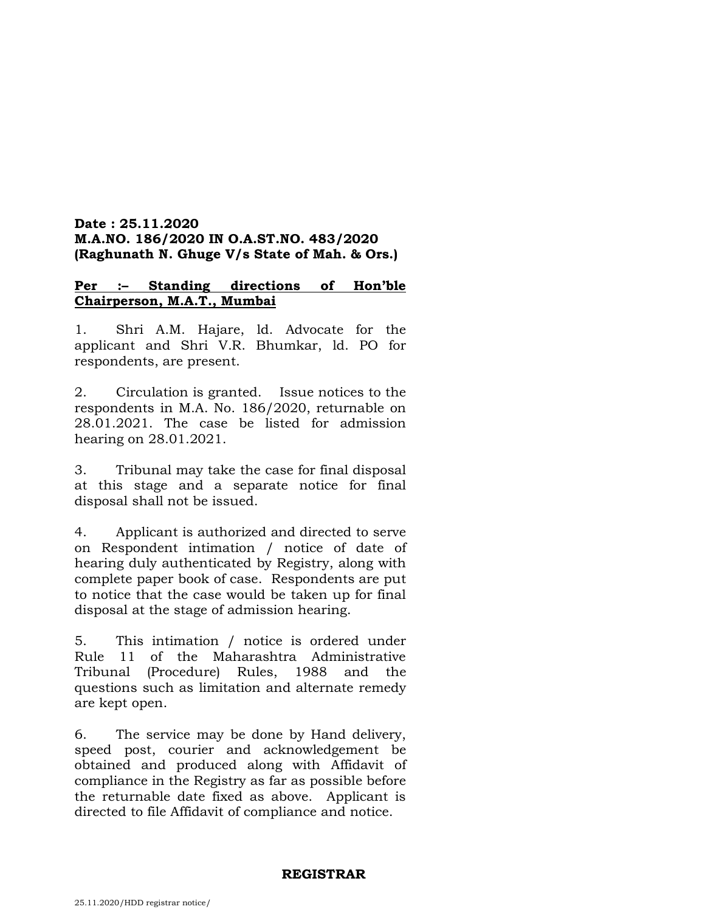### **Date : 25.11.2020 M.A.NO. 186/2020 IN O.A.ST.NO. 483/2020 (Raghunath N. Ghuge V/s State of Mah. & Ors.)**

#### **Per :– Standing directions of Hon'ble Chairperson, M.A.T., Mumbai**

1. Shri A.M. Hajare, ld. Advocate for the applicant and Shri V.R. Bhumkar, ld. PO for respondents, are present.

2. Circulation is granted. Issue notices to the respondents in M.A. No. 186/2020, returnable on 28.01.2021. The case be listed for admission hearing on 28.01.2021.

3. Tribunal may take the case for final disposal at this stage and a separate notice for final disposal shall not be issued.

4. Applicant is authorized and directed to serve on Respondent intimation / notice of date of hearing duly authenticated by Registry, along with complete paper book of case. Respondents are put to notice that the case would be taken up for final disposal at the stage of admission hearing.

5. This intimation / notice is ordered under Rule 11 of the Maharashtra Administrative Tribunal (Procedure) Rules, 1988 and the questions such as limitation and alternate remedy are kept open.

6. The service may be done by Hand delivery, speed post, courier and acknowledgement be obtained and produced along with Affidavit of compliance in the Registry as far as possible before the returnable date fixed as above. Applicant is directed to file Affidavit of compliance and notice.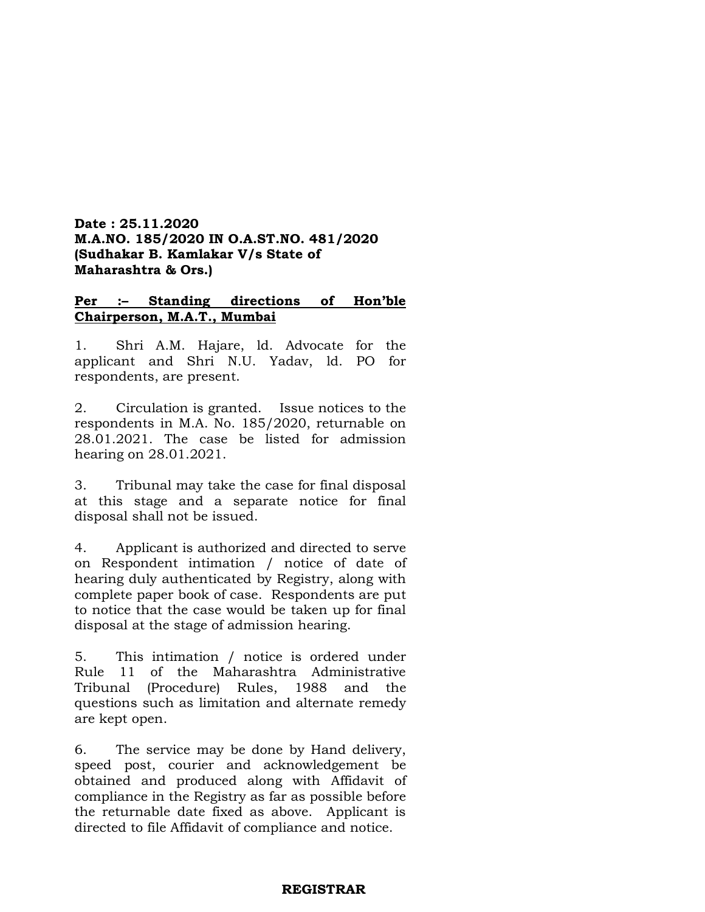### **Date : 25.11.2020 M.A.NO. 185/2020 IN O.A.ST.NO. 481/2020 (Sudhakar B. Kamlakar V/s State of Maharashtra & Ors.)**

# **Per :– Standing directions of Hon'ble Chairperson, M.A.T., Mumbai**

1. Shri A.M. Hajare, ld. Advocate for the applicant and Shri N.U. Yadav, ld. PO for respondents, are present.

2. Circulation is granted. Issue notices to the respondents in M.A. No. 185/2020, returnable on 28.01.2021. The case be listed for admission hearing on 28.01.2021.

3. Tribunal may take the case for final disposal at this stage and a separate notice for final disposal shall not be issued.

4. Applicant is authorized and directed to serve on Respondent intimation / notice of date of hearing duly authenticated by Registry, along with complete paper book of case. Respondents are put to notice that the case would be taken up for final disposal at the stage of admission hearing.

5. This intimation / notice is ordered under Rule 11 of the Maharashtra Administrative Tribunal (Procedure) Rules, 1988 and the questions such as limitation and alternate remedy are kept open.

6. The service may be done by Hand delivery, speed post, courier and acknowledgement be obtained and produced along with Affidavit of compliance in the Registry as far as possible before the returnable date fixed as above. Applicant is directed to file Affidavit of compliance and notice.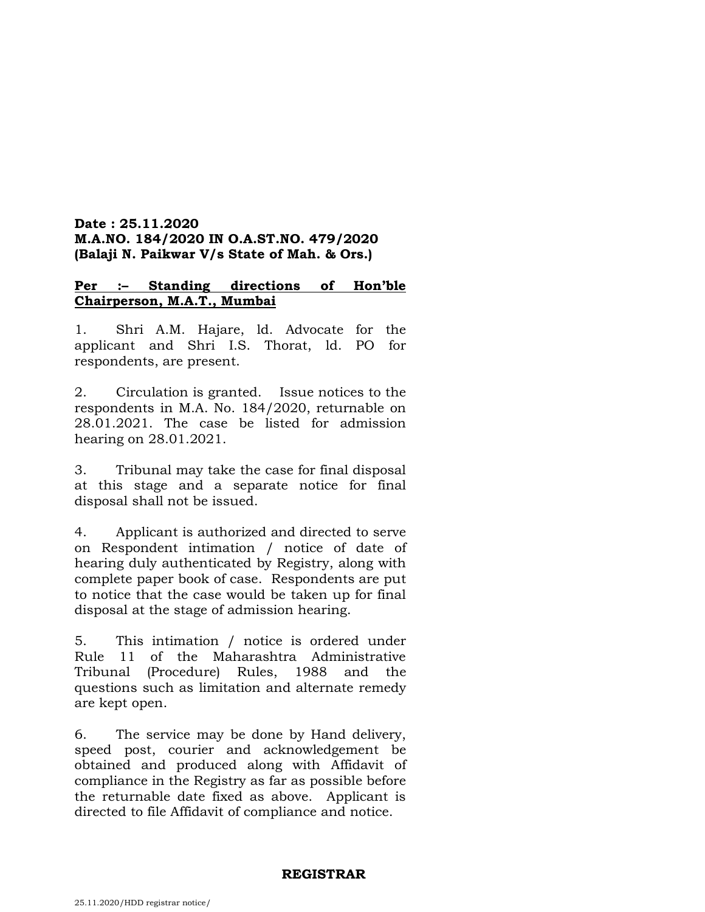# **Date : 25.11.2020 M.A.NO. 184/2020 IN O.A.ST.NO. 479/2020 (Balaji N. Paikwar V/s State of Mah. & Ors.)**

# **Per :– Standing directions of Hon'ble Chairperson, M.A.T., Mumbai**

1. Shri A.M. Hajare, ld. Advocate for the applicant and Shri I.S. Thorat, ld. PO for respondents, are present.

2. Circulation is granted. Issue notices to the respondents in M.A. No. 184/2020, returnable on 28.01.2021. The case be listed for admission hearing on 28.01.2021.

3. Tribunal may take the case for final disposal at this stage and a separate notice for final disposal shall not be issued.

4. Applicant is authorized and directed to serve on Respondent intimation / notice of date of hearing duly authenticated by Registry, along with complete paper book of case. Respondents are put to notice that the case would be taken up for final disposal at the stage of admission hearing.

5. This intimation / notice is ordered under Rule 11 of the Maharashtra Administrative Tribunal (Procedure) Rules, 1988 and the questions such as limitation and alternate remedy are kept open.

6. The service may be done by Hand delivery, speed post, courier and acknowledgement be obtained and produced along with Affidavit of compliance in the Registry as far as possible before the returnable date fixed as above. Applicant is directed to file Affidavit of compliance and notice.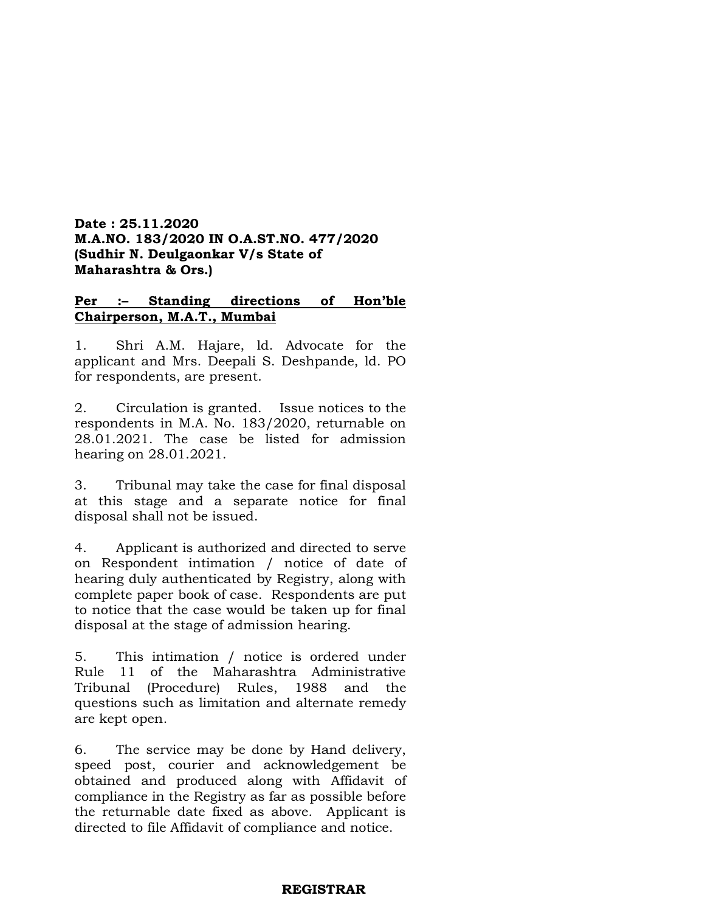# **Date : 25.11.2020 M.A.NO. 183/2020 IN O.A.ST.NO. 477/2020 (Sudhir N. Deulgaonkar V/s State of Maharashtra & Ors.)**

# **Per :– Standing directions of Hon'ble Chairperson, M.A.T., Mumbai**

1. Shri A.M. Hajare, ld. Advocate for the applicant and Mrs. Deepali S. Deshpande, ld. PO for respondents, are present.

2. Circulation is granted. Issue notices to the respondents in M.A. No. 183/2020, returnable on 28.01.2021. The case be listed for admission hearing on 28.01.2021.

3. Tribunal may take the case for final disposal at this stage and a separate notice for final disposal shall not be issued.

4. Applicant is authorized and directed to serve on Respondent intimation / notice of date of hearing duly authenticated by Registry, along with complete paper book of case. Respondents are put to notice that the case would be taken up for final disposal at the stage of admission hearing.

5. This intimation / notice is ordered under Rule 11 of the Maharashtra Administrative Tribunal (Procedure) Rules, 1988 and the questions such as limitation and alternate remedy are kept open.

6. The service may be done by Hand delivery, speed post, courier and acknowledgement be obtained and produced along with Affidavit of compliance in the Registry as far as possible before the returnable date fixed as above. Applicant is directed to file Affidavit of compliance and notice.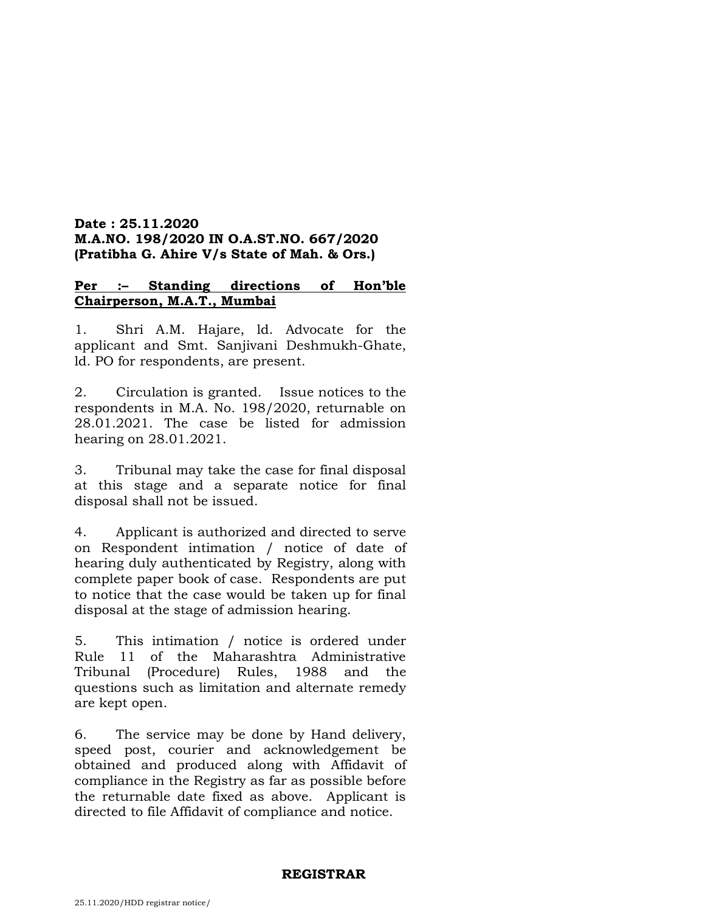# **Date : 25.11.2020 M.A.NO. 198/2020 IN O.A.ST.NO. 667/2020 (Pratibha G. Ahire V/s State of Mah. & Ors.)**

# **Per :– Standing directions of Hon'ble Chairperson, M.A.T., Mumbai**

1. Shri A.M. Hajare, ld. Advocate for the applicant and Smt. Sanjivani Deshmukh-Ghate, ld. PO for respondents, are present.

2. Circulation is granted. Issue notices to the respondents in M.A. No. 198/2020, returnable on 28.01.2021. The case be listed for admission hearing on 28.01.2021.

3. Tribunal may take the case for final disposal at this stage and a separate notice for final disposal shall not be issued.

4. Applicant is authorized and directed to serve on Respondent intimation / notice of date of hearing duly authenticated by Registry, along with complete paper book of case. Respondents are put to notice that the case would be taken up for final disposal at the stage of admission hearing.

5. This intimation / notice is ordered under Rule 11 of the Maharashtra Administrative Tribunal (Procedure) Rules, 1988 and the questions such as limitation and alternate remedy are kept open.

6. The service may be done by Hand delivery, speed post, courier and acknowledgement be obtained and produced along with Affidavit of compliance in the Registry as far as possible before the returnable date fixed as above. Applicant is directed to file Affidavit of compliance and notice.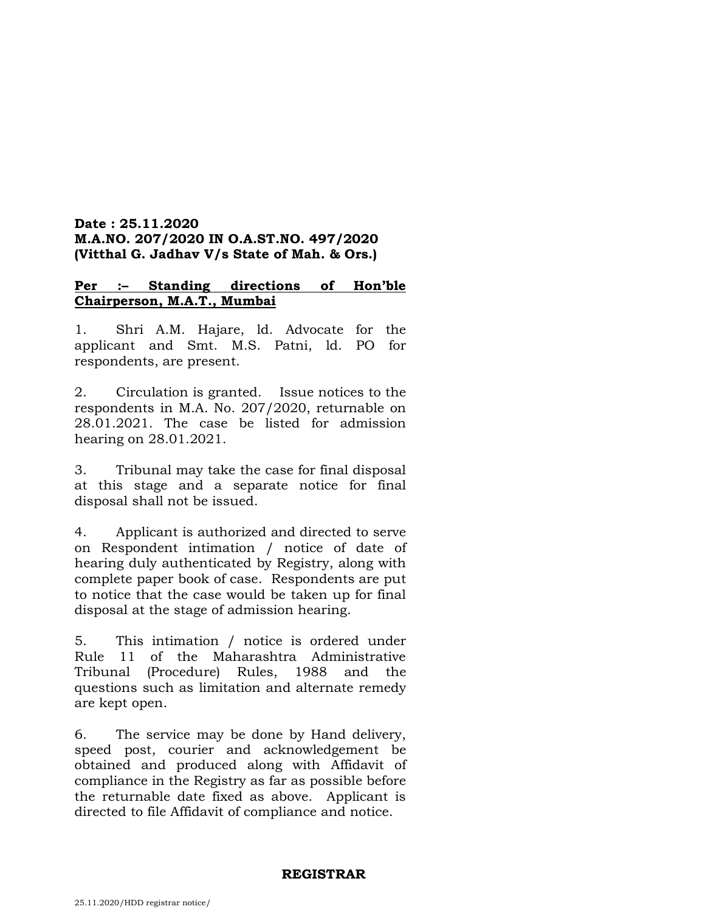# **Date : 25.11.2020 M.A.NO. 207/2020 IN O.A.ST.NO. 497/2020 (Vitthal G. Jadhav V/s State of Mah. & Ors.)**

# **Per :– Standing directions of Hon'ble Chairperson, M.A.T., Mumbai**

1. Shri A.M. Hajare, ld. Advocate for the applicant and Smt. M.S. Patni, ld. PO for respondents, are present.

2. Circulation is granted. Issue notices to the respondents in M.A. No. 207/2020, returnable on 28.01.2021. The case be listed for admission hearing on 28.01.2021.

3. Tribunal may take the case for final disposal at this stage and a separate notice for final disposal shall not be issued.

4. Applicant is authorized and directed to serve on Respondent intimation / notice of date of hearing duly authenticated by Registry, along with complete paper book of case. Respondents are put to notice that the case would be taken up for final disposal at the stage of admission hearing.

5. This intimation / notice is ordered under Rule 11 of the Maharashtra Administrative Tribunal (Procedure) Rules, 1988 and the questions such as limitation and alternate remedy are kept open.

6. The service may be done by Hand delivery, speed post, courier and acknowledgement be obtained and produced along with Affidavit of compliance in the Registry as far as possible before the returnable date fixed as above. Applicant is directed to file Affidavit of compliance and notice.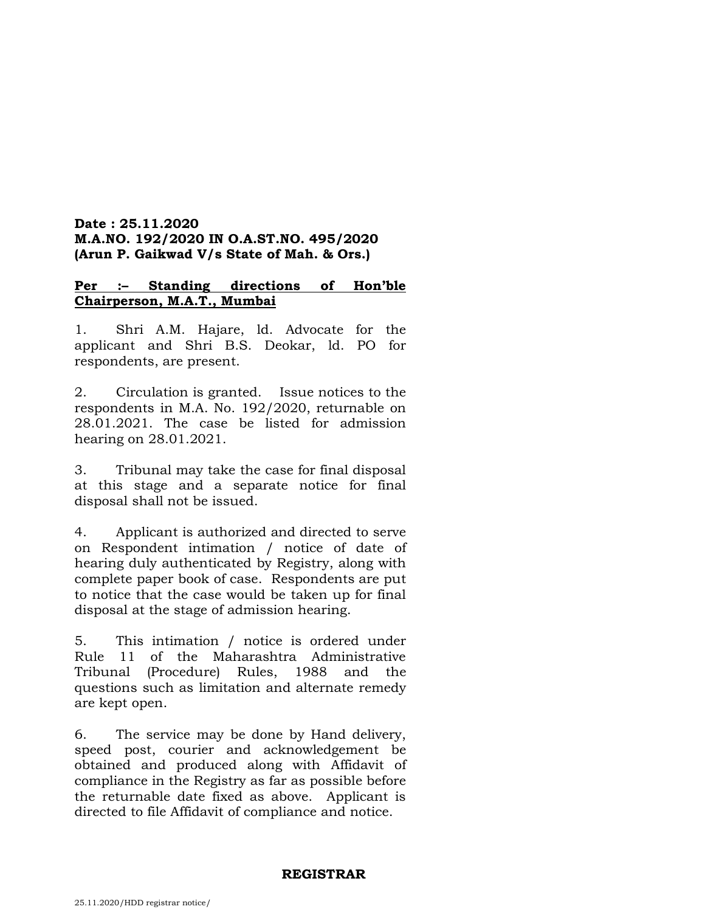# **Date : 25.11.2020 M.A.NO. 192/2020 IN O.A.ST.NO. 495/2020 (Arun P. Gaikwad V/s State of Mah. & Ors.)**

# **Per :– Standing directions of Hon'ble Chairperson, M.A.T., Mumbai**

1. Shri A.M. Hajare, ld. Advocate for the applicant and Shri B.S. Deokar, ld. PO for respondents, are present.

2. Circulation is granted. Issue notices to the respondents in M.A. No. 192/2020, returnable on 28.01.2021. The case be listed for admission hearing on 28.01.2021.

3. Tribunal may take the case for final disposal at this stage and a separate notice for final disposal shall not be issued.

4. Applicant is authorized and directed to serve on Respondent intimation / notice of date of hearing duly authenticated by Registry, along with complete paper book of case. Respondents are put to notice that the case would be taken up for final disposal at the stage of admission hearing.

5. This intimation / notice is ordered under Rule 11 of the Maharashtra Administrative Tribunal (Procedure) Rules, 1988 and the questions such as limitation and alternate remedy are kept open.

6. The service may be done by Hand delivery, speed post, courier and acknowledgement be obtained and produced along with Affidavit of compliance in the Registry as far as possible before the returnable date fixed as above. Applicant is directed to file Affidavit of compliance and notice.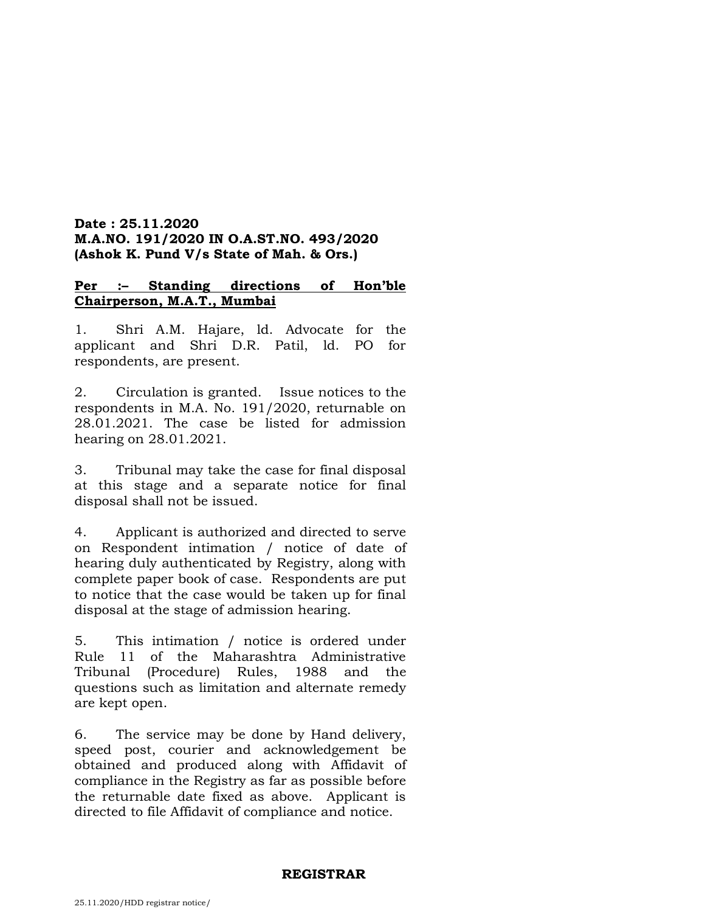# **Date : 25.11.2020 M.A.NO. 191/2020 IN O.A.ST.NO. 493/2020 (Ashok K. Pund V/s State of Mah. & Ors.)**

# **Per :– Standing directions of Hon'ble Chairperson, M.A.T., Mumbai**

1. Shri A.M. Hajare, ld. Advocate for the applicant and Shri D.R. Patil, ld. PO for respondents, are present.

2. Circulation is granted. Issue notices to the respondents in M.A. No. 191/2020, returnable on 28.01.2021. The case be listed for admission hearing on 28.01.2021.

3. Tribunal may take the case for final disposal at this stage and a separate notice for final disposal shall not be issued.

4. Applicant is authorized and directed to serve on Respondent intimation / notice of date of hearing duly authenticated by Registry, along with complete paper book of case. Respondents are put to notice that the case would be taken up for final disposal at the stage of admission hearing.

5. This intimation / notice is ordered under Rule 11 of the Maharashtra Administrative Tribunal (Procedure) Rules, 1988 and the questions such as limitation and alternate remedy are kept open.

6. The service may be done by Hand delivery, speed post, courier and acknowledgement be obtained and produced along with Affidavit of compliance in the Registry as far as possible before the returnable date fixed as above. Applicant is directed to file Affidavit of compliance and notice.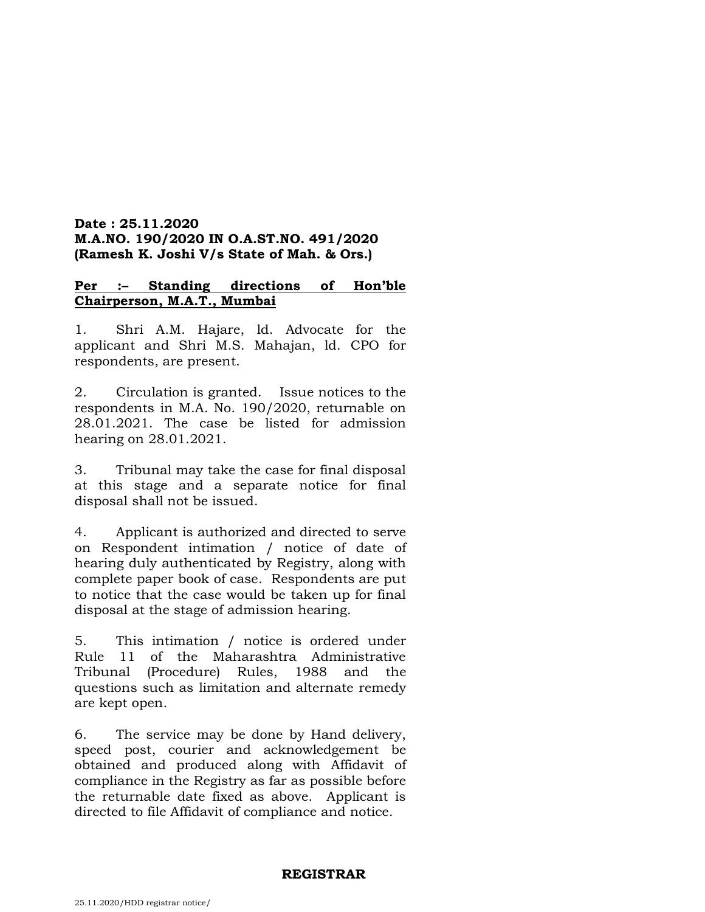### **Date : 25.11.2020 M.A.NO. 190/2020 IN O.A.ST.NO. 491/2020 (Ramesh K. Joshi V/s State of Mah. & Ors.)**

# **Per :– Standing directions of Hon'ble Chairperson, M.A.T., Mumbai**

1. Shri A.M. Hajare, ld. Advocate for the applicant and Shri M.S. Mahajan, ld. CPO for respondents, are present.

2. Circulation is granted. Issue notices to the respondents in M.A. No. 190/2020, returnable on 28.01.2021. The case be listed for admission hearing on 28.01.2021.

3. Tribunal may take the case for final disposal at this stage and a separate notice for final disposal shall not be issued.

4. Applicant is authorized and directed to serve on Respondent intimation / notice of date of hearing duly authenticated by Registry, along with complete paper book of case. Respondents are put to notice that the case would be taken up for final disposal at the stage of admission hearing.

5. This intimation / notice is ordered under Rule 11 of the Maharashtra Administrative Tribunal (Procedure) Rules, 1988 and the questions such as limitation and alternate remedy are kept open.

6. The service may be done by Hand delivery, speed post, courier and acknowledgement be obtained and produced along with Affidavit of compliance in the Registry as far as possible before the returnable date fixed as above. Applicant is directed to file Affidavit of compliance and notice.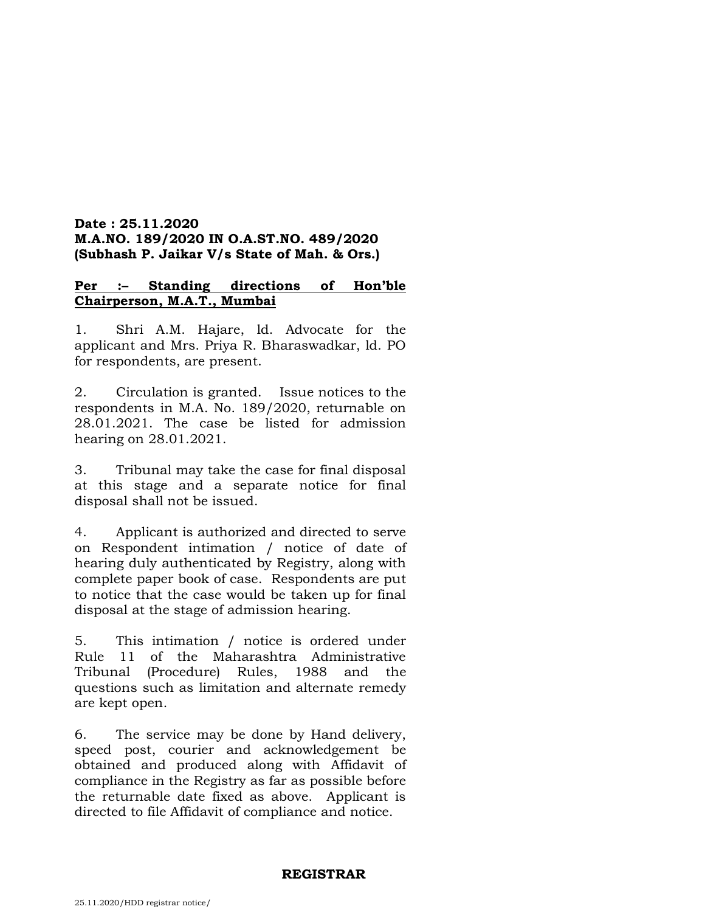# **Date : 25.11.2020 M.A.NO. 189/2020 IN O.A.ST.NO. 489/2020 (Subhash P. Jaikar V/s State of Mah. & Ors.)**

# **Per :– Standing directions of Hon'ble Chairperson, M.A.T., Mumbai**

1. Shri A.M. Hajare, ld. Advocate for the applicant and Mrs. Priya R. Bharaswadkar, ld. PO for respondents, are present.

2. Circulation is granted. Issue notices to the respondents in M.A. No. 189/2020, returnable on 28.01.2021. The case be listed for admission hearing on 28.01.2021.

3. Tribunal may take the case for final disposal at this stage and a separate notice for final disposal shall not be issued.

4. Applicant is authorized and directed to serve on Respondent intimation / notice of date of hearing duly authenticated by Registry, along with complete paper book of case. Respondents are put to notice that the case would be taken up for final disposal at the stage of admission hearing.

5. This intimation / notice is ordered under Rule 11 of the Maharashtra Administrative Tribunal (Procedure) Rules, 1988 and the questions such as limitation and alternate remedy are kept open.

6. The service may be done by Hand delivery, speed post, courier and acknowledgement be obtained and produced along with Affidavit of compliance in the Registry as far as possible before the returnable date fixed as above. Applicant is directed to file Affidavit of compliance and notice.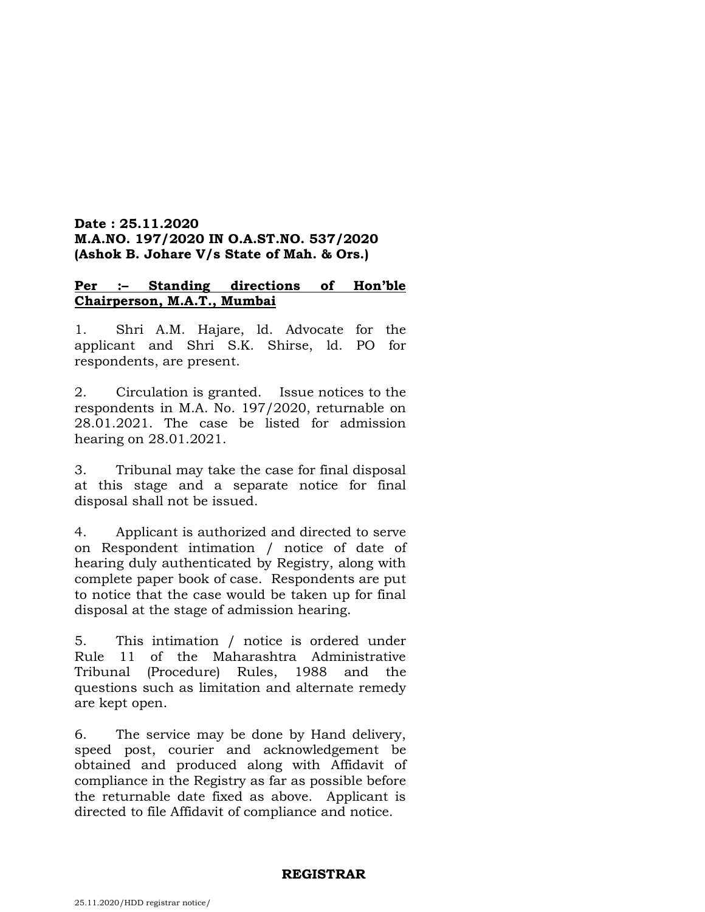# **Date : 25.11.2020 M.A.NO. 197/2020 IN O.A.ST.NO. 537/2020 (Ashok B. Johare V/s State of Mah. & Ors.)**

# **Per :– Standing directions of Hon'ble Chairperson, M.A.T., Mumbai**

1. Shri A.M. Hajare, ld. Advocate for the applicant and Shri S.K. Shirse, ld. PO for respondents, are present.

2. Circulation is granted. Issue notices to the respondents in M.A. No. 197/2020, returnable on 28.01.2021. The case be listed for admission hearing on 28.01.2021.

3. Tribunal may take the case for final disposal at this stage and a separate notice for final disposal shall not be issued.

4. Applicant is authorized and directed to serve on Respondent intimation / notice of date of hearing duly authenticated by Registry, along with complete paper book of case. Respondents are put to notice that the case would be taken up for final disposal at the stage of admission hearing.

5. This intimation / notice is ordered under Rule 11 of the Maharashtra Administrative Tribunal (Procedure) Rules, 1988 and the questions such as limitation and alternate remedy are kept open.

6. The service may be done by Hand delivery, speed post, courier and acknowledgement be obtained and produced along with Affidavit of compliance in the Registry as far as possible before the returnable date fixed as above. Applicant is directed to file Affidavit of compliance and notice.